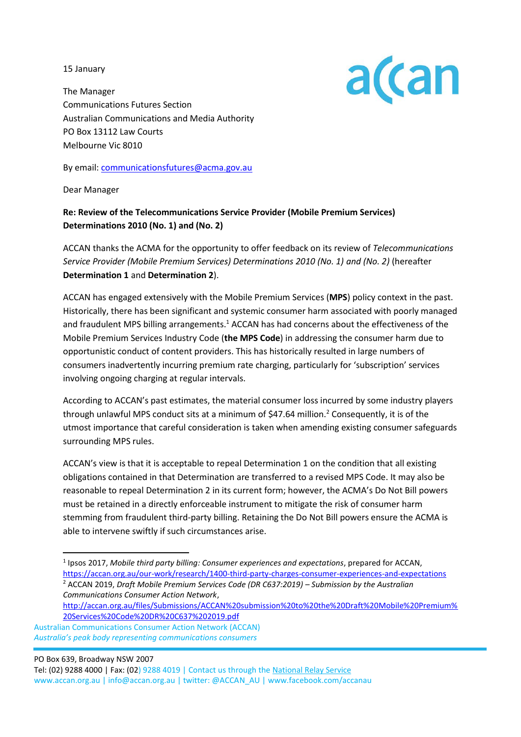15 January



The Manager Communications Futures Section Australian Communications and Media Authority PO Box 13112 Law Courts Melbourne Vic 8010

By email: [communicationsfutures@acma.gov.au](mailto:communicationsfutures@acma.gov.au)

Dear Manager

### **Re: Review of the Telecommunications Service Provider (Mobile Premium Services) Determinations 2010 (No. 1) and (No. 2)**

ACCAN thanks the ACMA for the opportunity to offer feedback on its review of *Telecommunications Service Provider (Mobile Premium Services) Determinations 2010 (No. 1) and (No. 2)* (hereafter **Determination 1** and **Determination 2**).

ACCAN has engaged extensively with the Mobile Premium Services (**MPS**) policy context in the past. Historically, there has been significant and systemic consumer harm associated with poorly managed and fraudulent MPS billing arrangements.<sup>1</sup> ACCAN has had concerns about the effectiveness of the Mobile Premium Services Industry Code (**the MPS Code**) in addressing the consumer harm due to opportunistic conduct of content providers. This has historically resulted in large numbers of consumers inadvertently incurring premium rate charging, particularly for 'subscription' services involving ongoing charging at regular intervals.

According to ACCAN's past estimates, the material consumer loss incurred by some industry players through unlawful MPS conduct sits at a minimum of  $$47.64$  million.<sup>2</sup> Consequently, it is of the utmost importance that careful consideration is taken when amending existing consumer safeguards surrounding MPS rules.

ACCAN's view is that it is acceptable to repeal Determination 1 on the condition that all existing obligations contained in that Determination are transferred to a revised MPS Code. It may also be reasonable to repeal Determination 2 in its current form; however, the ACMA's Do Not Bill powers must be retained in a directly enforceable instrument to mitigate the risk of consumer harm stemming from fraudulent third-party billing. Retaining the Do Not Bill powers ensure the ACMA is able to intervene swiftly if such circumstances arise.

1 Ipsos 2017, *Mobile third party billing: Consumer experiences and expectations*, prepared for ACCAN, <https://accan.org.au/our-work/research/1400-third-party-charges-consumer-experiences-and-expectations> <sup>2</sup> ACCAN 2019, *Draft Mobile Premium Services Code (DR C637:2019) – Submission by the Australian Communications Consumer Action Network*,

[http://accan.org.au/files/Submissions/ACCAN%20submission%20to%20the%20Draft%20Mobile%20Premium%](http://accan.org.au/files/Submissions/ACCAN%20submission%20to%20the%20Draft%20Mobile%20Premium%20Services%20Code%20DR%20C637%202019.pdf) [20Services%20Code%20DR%20C637%202019.pdf](http://accan.org.au/files/Submissions/ACCAN%20submission%20to%20the%20Draft%20Mobile%20Premium%20Services%20Code%20DR%20C637%202019.pdf)

 Australian Communications Consumer Action Network (ACCAN)  *Australia's peak body representing communications consumers*

PO Box 639, Broadway NSW 2007

 Tel: (02) 9288 4000 | Fax: (02) 9288 4019 | Contact us through th[e National Relay Service](http://relayservice.gov.au/) www.accan.org.au | info@accan.org.au | twitter: @ACCAN\_AU | www.facebook.com/accanau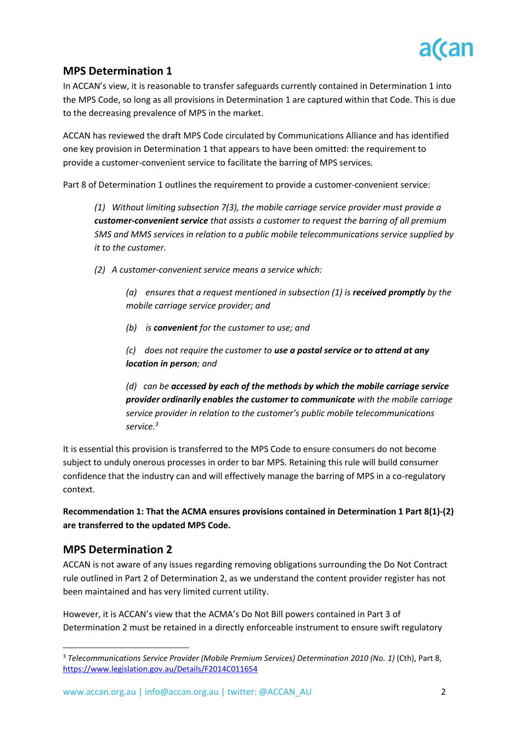

# **MPS Determination 1**

In ACCAN's view, it is reasonable to transfer safeguards currently contained in Determination 1 into the MPS Code, so long as all provisions in Determination 1 are captured within that Code. This is due to the decreasing prevalence of MPS in the market.

ACCAN has reviewed the draft MPS Code circulated by Communications Alliance and has identified one key provision in Determination 1 that appears to have been omitted: the requirement to provide a customer-convenient service to facilitate the barring of MPS services.

Part 8 of Determination 1 outlines the requirement to provide a customer-convenient service:

*(1) Without limiting subsection 7(3), the mobile carriage service provider must provide a customer-convenient service that assists a customer to request the barring of all premium SMS and MMS services in relation to a public mobile telecommunications service supplied by it to the customer.*

*(2) A customer-convenient service means a service which:* 

*(a) ensures that a request mentioned in subsection (1) is received promptly by the mobile carriage service provider; and*

*(b) is convenient for the customer to use; and*

*(c) does not require the customer to use a postal service or to attend at any location in person; and*

*(d) can be accessed by each of the methods by which the mobile carriage service provider ordinarily enables the customer to communicate with the mobile carriage service provider in relation to the customer's public mobile telecommunications service.<sup>3</sup>*

It is essential this provision is transferred to the MPS Code to ensure consumers do not become subject to unduly onerous processes in order to bar MPS. Retaining this rule will build consumer confidence that the industry can and will effectively manage the barring of MPS in a co-regulatory context.

**Recommendation 1: That the ACMA ensures provisions contained in Determination 1 Part 8(1)-(2) are transferred to the updated MPS Code.** 

# **MPS Determination 2**

ACCAN is not aware of any issues regarding removing obligations surrounding the Do Not Contract rule outlined in Part 2 of Determination 2, as we understand the content provider register has not been maintained and has very limited current utility.

However, it is ACCAN's view that the ACMA's Do Not Bill powers contained in Part 3 of Determination 2 must be retained in a directly enforceable instrument to ensure swift regulatory

<sup>3</sup> *Telecommunications Service Provider (Mobile Premium Services) Determination 2010 (No. 1)* (Cth), Part 8, <https://www.legislation.gov.au/Details/F2014C011654>